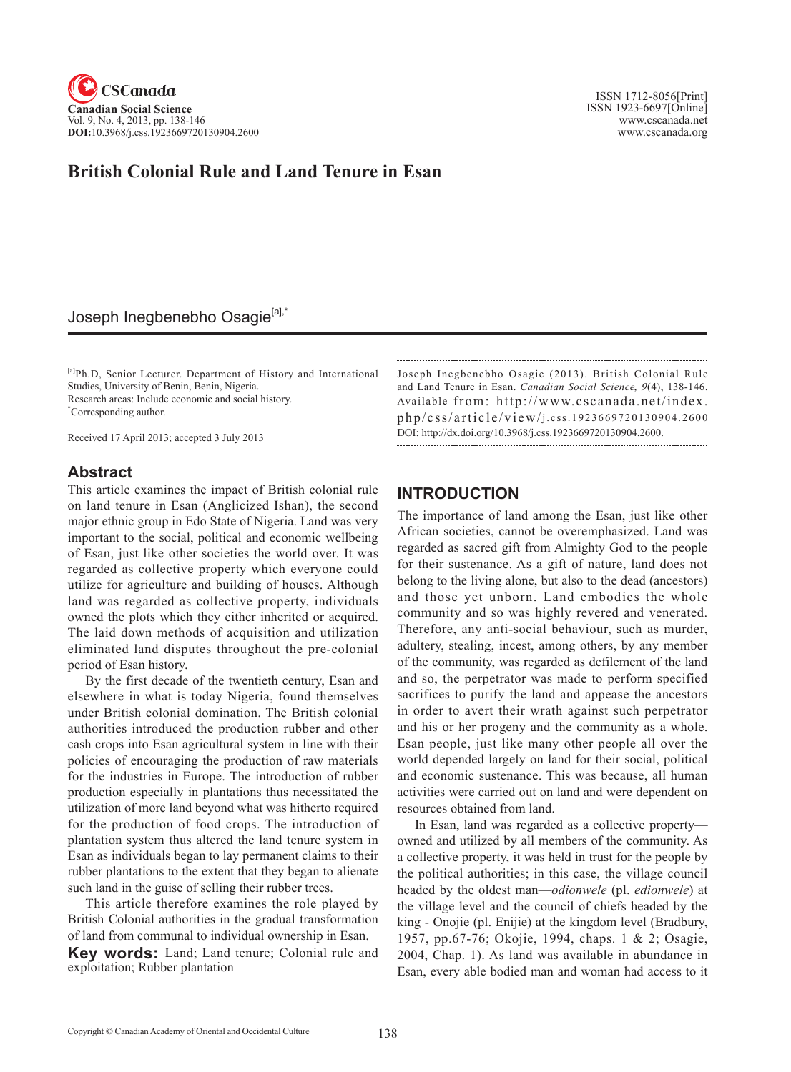# **British Colonial Rule and Land Tenure in Esan**

# Joseph Inegbenebho Osagie<sup>[a],\*</sup>

[a]Ph.D, Senior Lecturer. Department of History and International Studies, University of Benin, Benin, Nigeria. Research areas: Include economic and social history. \* Corresponding author.

Received 17 April 2013; accepted 3 July 2013

# **Abstract**

This article examines the impact of British colonial rule on land tenure in Esan (Anglicized Ishan), the second major ethnic group in Edo State of Nigeria. Land was very important to the social, political and economic wellbeing of Esan, just like other societies the world over. It was regarded as collective property which everyone could utilize for agriculture and building of houses. Although land was regarded as collective property, individuals owned the plots which they either inherited or acquired. The laid down methods of acquisition and utilization eliminated land disputes throughout the pre-colonial period of Esan history.

By the first decade of the twentieth century, Esan and elsewhere in what is today Nigeria, found themselves under British colonial domination. The British colonial authorities introduced the production rubber and other cash crops into Esan agricultural system in line with their policies of encouraging the production of raw materials for the industries in Europe. The introduction of rubber production especially in plantations thus necessitated the utilization of more land beyond what was hitherto required for the production of food crops. The introduction of plantation system thus altered the land tenure system in Esan as individuals began to lay permanent claims to their rubber plantations to the extent that they began to alienate such land in the guise of selling their rubber trees.

This article therefore examines the role played by British Colonial authorities in the gradual transformation of land from communal to individual ownership in Esan. **Key words:** Land; Land tenure; Colonial rule and exploitation; Rubber plantation

Joseph Inegbenebho Osagie (2013). British Colonial Rule and Land Tenure in Esan. *Canadian Social Science*, <sup>9</sup>(4), 138-146. Available from: http://www.cscanada.net/index. php/css/article/view/j.css.1923669720130904.2600 DOI: http://dx.doi.org/10.3968/j.css.1923669720130904.2600.

# **INTRODUCTION**

The importance of land among the Esan, just like other African societies, cannot be overemphasized. Land was regarded as sacred gift from Almighty God to the people for their sustenance. As a gift of nature, land does not belong to the living alone, but also to the dead (ancestors) and those yet unborn. Land embodies the whole community and so was highly revered and venerated. Therefore, any anti-social behaviour, such as murder, adultery, stealing, incest, among others, by any member of the community, was regarded as defilement of the land and so, the perpetrator was made to perform specified sacrifices to purify the land and appease the ancestors in order to avert their wrath against such perpetrator and his or her progeny and the community as a whole. Esan people, just like many other people all over the world depended largely on land for their social, political and economic sustenance. This was because, all human activities were carried out on land and were dependent on resources obtained from land.

In Esan, land was regarded as a collective property owned and utilized by all members of the community. As a collective property, it was held in trust for the people by the political authorities; in this case, the village council headed by the oldest man—*odionwele* (pl. *edionwele*) at the village level and the council of chiefs headed by the king - Onojie (pl. Enijie) at the kingdom level (Bradbury, 1957, pp.67-76; Okojie, 1994, chaps. 1 & 2; Osagie, 2004, Chap. 1). As land was available in abundance in Esan, every able bodied man and woman had access to it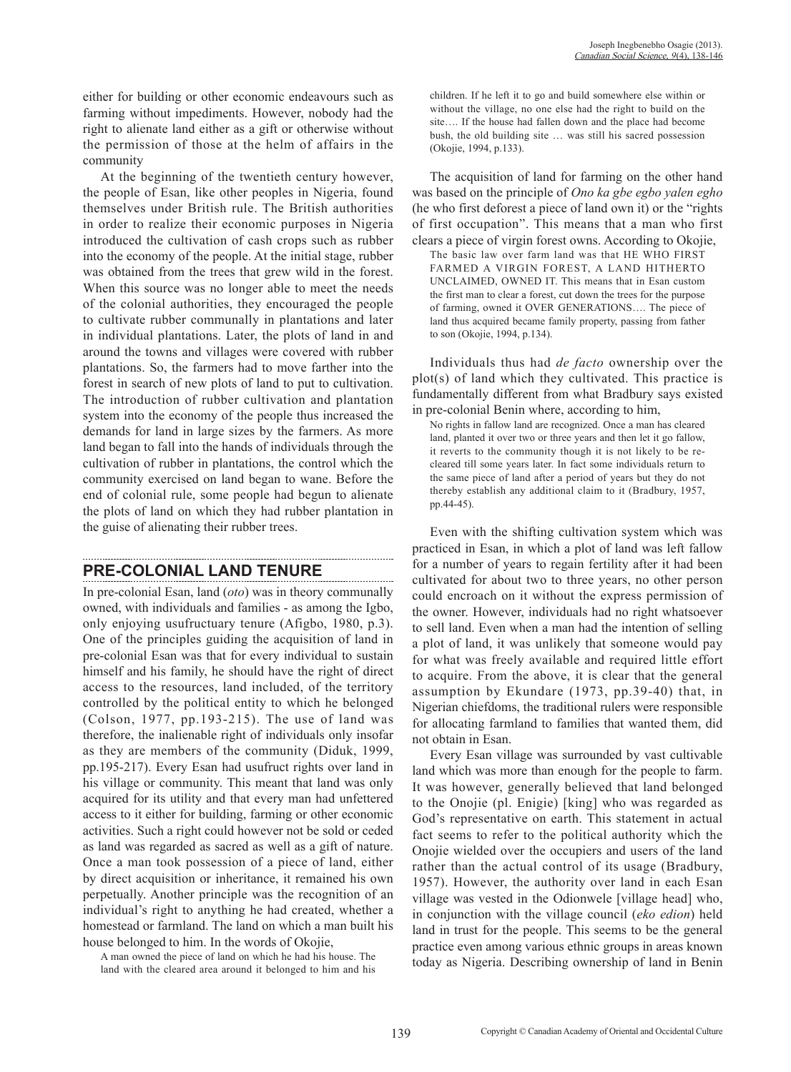either for building or other economic endeavours such as farming without impediments. However, nobody had the right to alienate land either as a gift or otherwise without the permission of those at the helm of affairs in the community

At the beginning of the twentieth century however, the people of Esan, like other peoples in Nigeria, found themselves under British rule. The British authorities in order to realize their economic purposes in Nigeria introduced the cultivation of cash crops such as rubber into the economy of the people. At the initial stage, rubber was obtained from the trees that grew wild in the forest. When this source was no longer able to meet the needs of the colonial authorities, they encouraged the people to cultivate rubber communally in plantations and later in individual plantations. Later, the plots of land in and around the towns and villages were covered with rubber plantations. So, the farmers had to move farther into the forest in search of new plots of land to put to cultivation. The introduction of rubber cultivation and plantation system into the economy of the people thus increased the demands for land in large sizes by the farmers. As more land began to fall into the hands of individuals through the cultivation of rubber in plantations, the control which the community exercised on land began to wane. Before the end of colonial rule, some people had begun to alienate the plots of land on which they had rubber plantation in the guise of alienating their rubber trees.

# **PRE-COLONIAL LAND TENURE**

In pre-colonial Esan, land (*oto*) was in theory communally owned, with individuals and families - as among the Igbo, only enjoying usufructuary tenure (Afigbo, 1980, p.3). One of the principles guiding the acquisition of land in pre-colonial Esan was that for every individual to sustain himself and his family, he should have the right of direct access to the resources, land included, of the territory controlled by the political entity to which he belonged (Colson, 1977, pp.193-215). The use of land was therefore, the inalienable right of individuals only insofar as they are members of the community (Diduk, 1999, pp.195-217). Every Esan had usufruct rights over land in his village or community. This meant that land was only acquired for its utility and that every man had unfettered access to it either for building, farming or other economic activities. Such a right could however not be sold or ceded as land was regarded as sacred as well as a gift of nature. Once a man took possession of a piece of land, either by direct acquisition or inheritance, it remained his own perpetually. Another principle was the recognition of an individual's right to anything he had created, whether a homestead or farmland. The land on which a man built his house belonged to him. In the words of Okojie,

A man owned the piece of land on which he had his house. The land with the cleared area around it belonged to him and his children. If he left it to go and build somewhere else within or without the village, no one else had the right to build on the site…. If the house had fallen down and the place had become bush, the old building site … was still his sacred possession (Okojie, 1994, p.133).

The acquisition of land for farming on the other hand was based on the principle of *Ono ka gbe egbo yalen egho* (he who first deforest a piece of land own it) or the "rights of first occupation". This means that a man who first clears a piece of virgin forest owns. According to Okojie, The basic law over farm land was that HE WHO FIRST FARMED A VIRGIN FOREST, A LAND HITHERTO UNCLAIMED, OWNED IT. This means that in Esan custom the first man to clear a forest, cut down the trees for the purpose of farming, owned it OVER GENERATIONS…. The piece of land thus acquired became family property, passing from father to son (Okojie, 1994, p.134).

Individuals thus had *de facto* ownership over the plot(s) of land which they cultivated. This practice is fundamentally different from what Bradbury says existed in pre-colonial Benin where, according to him,

No rights in fallow land are recognized. Once a man has cleared land, planted it over two or three years and then let it go fallow, it reverts to the community though it is not likely to be recleared till some years later. In fact some individuals return to the same piece of land after a period of years but they do not thereby establish any additional claim to it (Bradbury, 1957, pp.44-45).

Even with the shifting cultivation system which was practiced in Esan, in which a plot of land was left fallow for a number of years to regain fertility after it had been cultivated for about two to three years, no other person could encroach on it without the express permission of the owner. However, individuals had no right whatsoever to sell land. Even when a man had the intention of selling a plot of land, it was unlikely that someone would pay for what was freely available and required little effort to acquire. From the above, it is clear that the general assumption by Ekundare (1973, pp.39-40) that, in Nigerian chiefdoms, the traditional rulers were responsible for allocating farmland to families that wanted them, did not obtain in Esan.

Every Esan village was surrounded by vast cultivable land which was more than enough for the people to farm. It was however, generally believed that land belonged to the Onojie (pl. Enigie) [king] who was regarded as God's representative on earth. This statement in actual fact seems to refer to the political authority which the Onojie wielded over the occupiers and users of the land rather than the actual control of its usage (Bradbury, 1957). However, the authority over land in each Esan village was vested in the Odionwele [village head] who, in conjunction with the village council (*eko edion*) held land in trust for the people. This seems to be the general practice even among various ethnic groups in areas known today as Nigeria. Describing ownership of land in Benin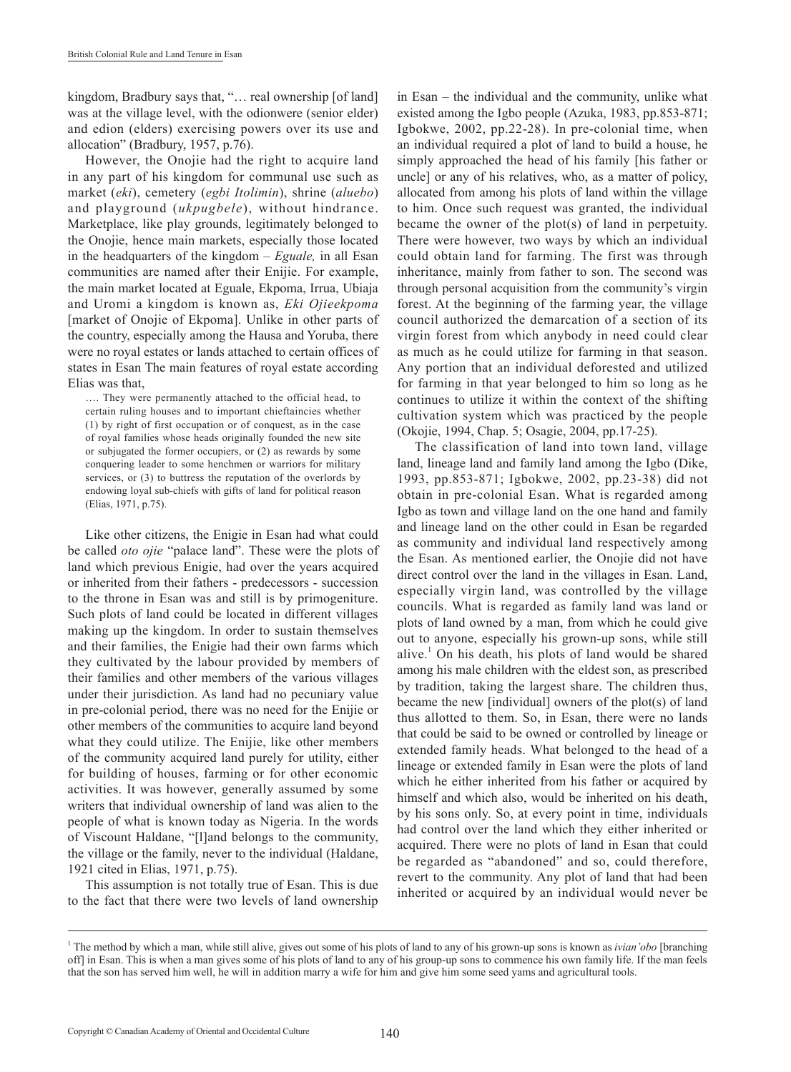kingdom, Bradbury says that, "... real ownership [of land] was at the village level, with the odionwere (senior elder) and edion (elders) exercising powers over its use and allocation" (Bradbury, 1957, p.76).

However, the Onojie had the right to acquire land in any part of his kingdom for communal use such as market (*eki*), cemetery (*egbi Itolimin*), shrine (*aluebo*) and playground (*ukpugbele*), without hindrance. Marketplace, like play grounds, legitimately belonged to the Onojie, hence main markets, especially those located in the headquarters of the kingdom – *Eguale,* in all Esan communities are named after their Enijie. For example, the main market located at Eguale, Ekpoma, Irrua, Ubiaja and Uromi a kingdom is known as, *Eki Ojieekpoma* [market of Onojie of Ekpoma]. Unlike in other parts of the country, especially among the Hausa and Yoruba, there were no royal estates or lands attached to certain offices of states in Esan The main features of royal estate according Elias was that,

…. They were permanently attached to the official head, to certain ruling houses and to important chieftaincies whether (1) by right of first occupation or of conquest, as in the case of royal families whose heads originally founded the new site or subjugated the former occupiers, or (2) as rewards by some conquering leader to some henchmen or warriors for military services, or (3) to buttress the reputation of the overlords by endowing loyal sub-chiefs with gifts of land for political reason (Elias, 1971, p.75).

Like other citizens, the Enigie in Esan had what could be called *oto ojie* "palace land". These were the plots of land which previous Enigie, had over the years acquired or inherited from their fathers - predecessors - succession to the throne in Esan was and still is by primogeniture. Such plots of land could be located in different villages making up the kingdom. In order to sustain themselves and their families, the Enigie had their own farms which they cultivated by the labour provided by members of their families and other members of the various villages under their jurisdiction. As land had no pecuniary value in pre-colonial period, there was no need for the Enijie or other members of the communities to acquire land beyond what they could utilize. The Enijie, like other members of the community acquired land purely for utility, either for building of houses, farming or for other economic activities. It was however, generally assumed by some writers that individual ownership of land was alien to the people of what is known today as Nigeria. In the words of Viscount Haldane, "[l]and belongs to the community, the village or the family, never to the individual (Haldane, 1921 cited in Elias, 1971, p.75).

This assumption is not totally true of Esan. This is due to the fact that there were two levels of land ownership

in Esan – the individual and the community, unlike what existed among the Igbo people (Azuka, 1983, pp.853-871; Igbokwe, 2002, pp.22-28). In pre-colonial time, when an individual required a plot of land to build a house, he simply approached the head of his family [his father or uncle] or any of his relatives, who, as a matter of policy, allocated from among his plots of land within the village to him. Once such request was granted, the individual became the owner of the plot(s) of land in perpetuity. There were however, two ways by which an individual could obtain land for farming. The first was through inheritance, mainly from father to son. The second was through personal acquisition from the community's virgin forest. At the beginning of the farming year, the village council authorized the demarcation of a section of its virgin forest from which anybody in need could clear as much as he could utilize for farming in that season. Any portion that an individual deforested and utilized for farming in that year belonged to him so long as he continues to utilize it within the context of the shifting cultivation system which was practiced by the people (Okojie, 1994, Chap. 5; Osagie, 2004, pp.17-25).

The classification of land into town land, village land, lineage land and family land among the Igbo (Dike, 1993, pp.853-871; Igbokwe, 2002, pp.23-38) did not obtain in pre-colonial Esan. What is regarded among Igbo as town and village land on the one hand and family and lineage land on the other could in Esan be regarded as community and individual land respectively among the Esan. As mentioned earlier, the Onojie did not have direct control over the land in the villages in Esan. Land, especially virgin land, was controlled by the village councils. What is regarded as family land was land or plots of land owned by a man, from which he could give out to anyone, especially his grown-up sons, while still alive.<sup>1</sup> On his death, his plots of land would be shared among his male children with the eldest son, as prescribed by tradition, taking the largest share. The children thus, became the new [individual] owners of the plot(s) of land thus allotted to them. So, in Esan, there were no lands that could be said to be owned or controlled by lineage or extended family heads. What belonged to the head of a lineage or extended family in Esan were the plots of land which he either inherited from his father or acquired by himself and which also, would be inherited on his death, by his sons only. So, at every point in time, individuals had control over the land which they either inherited or acquired. There were no plots of land in Esan that could be regarded as "abandoned" and so, could therefore, revert to the community. Any plot of land that had been inherited or acquired by an individual would never be

<sup>1</sup> The method by which a man, while still alive, gives out some of his plots of land to any of his grown-up sons is known as *ivian'obo* [branching off] in Esan. This is when a man gives some of his plots of land to any of his group-up sons to commence his own family life. If the man feels that the son has served him well, he will in addition marry a wife for him and give him some seed yams and agricultural tools.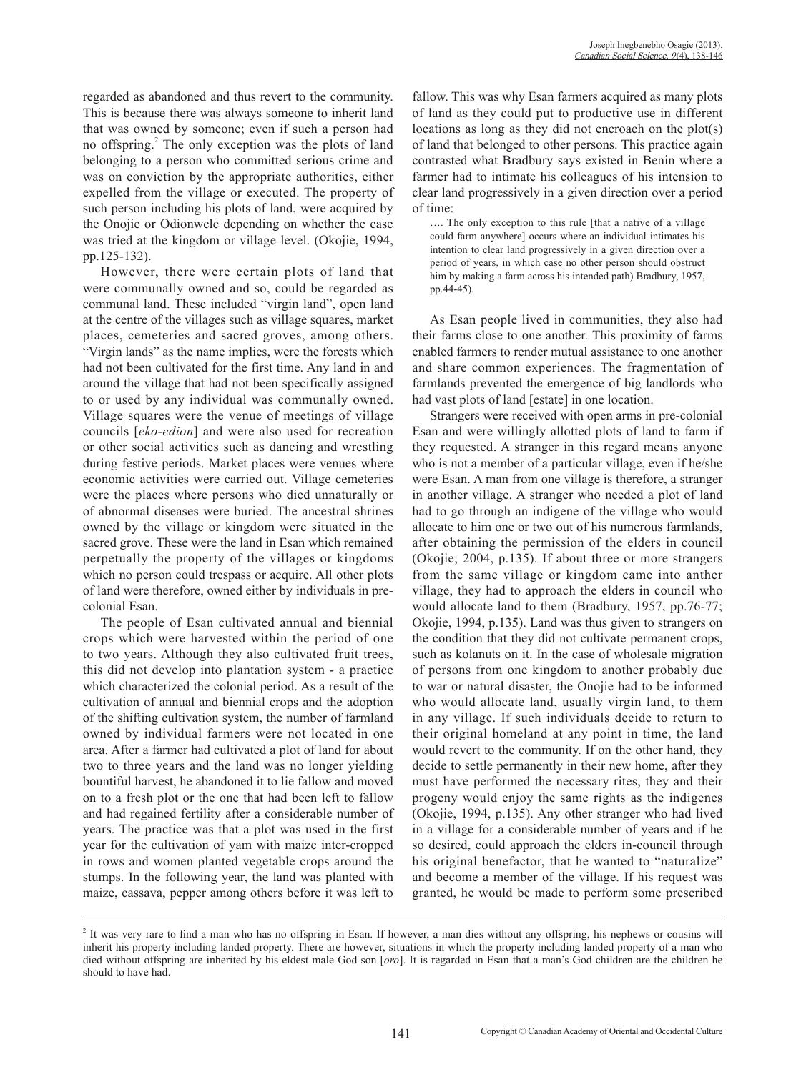regarded as abandoned and thus revert to the community. This is because there was always someone to inherit land that was owned by someone; even if such a person had no offspring.<sup>2</sup> The only exception was the plots of land belonging to a person who committed serious crime and was on conviction by the appropriate authorities, either expelled from the village or executed. The property of such person including his plots of land, were acquired by the Onojie or Odionwele depending on whether the case was tried at the kingdom or village level. (Okojie, 1994, pp.125-132).

However, there were certain plots of land that were communally owned and so, could be regarded as communal land. These included "virgin land", open land at the centre of the villages such as village squares, market places, cemeteries and sacred groves, among others. "Virgin lands" as the name implies, were the forests which had not been cultivated for the first time. Any land in and around the village that had not been specifically assigned to or used by any individual was communally owned. Village squares were the venue of meetings of village councils [*eko-edion*] and were also used for recreation or other social activities such as dancing and wrestling during festive periods. Market places were venues where economic activities were carried out. Village cemeteries were the places where persons who died unnaturally or of abnormal diseases were buried. The ancestral shrines owned by the village or kingdom were situated in the sacred grove. These were the land in Esan which remained perpetually the property of the villages or kingdoms which no person could trespass or acquire. All other plots of land were therefore, owned either by individuals in precolonial Esan.

The people of Esan cultivated annual and biennial crops which were harvested within the period of one to two years. Although they also cultivated fruit trees, this did not develop into plantation system - a practice which characterized the colonial period. As a result of the cultivation of annual and biennial crops and the adoption of the shifting cultivation system, the number of farmland owned by individual farmers were not located in one area. After a farmer had cultivated a plot of land for about two to three years and the land was no longer yielding bountiful harvest, he abandoned it to lie fallow and moved on to a fresh plot or the one that had been left to fallow and had regained fertility after a considerable number of years. The practice was that a plot was used in the first year for the cultivation of yam with maize inter-cropped in rows and women planted vegetable crops around the stumps. In the following year, the land was planted with maize, cassava, pepper among others before it was left to

fallow. This was why Esan farmers acquired as many plots of land as they could put to productive use in different locations as long as they did not encroach on the plot(s) of land that belonged to other persons. This practice again contrasted what Bradbury says existed in Benin where a farmer had to intimate his colleagues of his intension to clear land progressively in a given direction over a period of time:

…. The only exception to this rule [that a native of a village could farm anywhere] occurs where an individual intimates his intention to clear land progressively in a given direction over a period of years, in which case no other person should obstruct him by making a farm across his intended path) Bradbury, 1957, pp.44-45).

As Esan people lived in communities, they also had their farms close to one another. This proximity of farms enabled farmers to render mutual assistance to one another and share common experiences. The fragmentation of farmlands prevented the emergence of big landlords who had vast plots of land [estate] in one location.

Strangers were received with open arms in pre-colonial Esan and were willingly allotted plots of land to farm if they requested. A stranger in this regard means anyone who is not a member of a particular village, even if he/she were Esan. A man from one village is therefore, a stranger in another village. A stranger who needed a plot of land had to go through an indigene of the village who would allocate to him one or two out of his numerous farmlands, after obtaining the permission of the elders in council (Okojie; 2004, p.135). If about three or more strangers from the same village or kingdom came into anther village, they had to approach the elders in council who would allocate land to them (Bradbury, 1957, pp.76-77; Okojie, 1994, p.135). Land was thus given to strangers on the condition that they did not cultivate permanent crops, such as kolanuts on it. In the case of wholesale migration of persons from one kingdom to another probably due to war or natural disaster, the Onojie had to be informed who would allocate land, usually virgin land, to them in any village. If such individuals decide to return to their original homeland at any point in time, the land would revert to the community. If on the other hand, they decide to settle permanently in their new home, after they must have performed the necessary rites, they and their progeny would enjoy the same rights as the indigenes (Okojie, 1994, p.135). Any other stranger who had lived in a village for a considerable number of years and if he so desired, could approach the elders in-council through his original benefactor, that he wanted to "naturalize" and become a member of the village. If his request was granted, he would be made to perform some prescribed

<sup>&</sup>lt;sup>2</sup> It was very rare to find a man who has no offspring in Esan. If however, a man dies without any offspring, his nephews or cousins will inherit his property including landed property. There are however, situations in which the property including landed property of a man who died without offspring are inherited by his eldest male God son [*oro*]. It is regarded in Esan that a man's God children are the children he should to have had.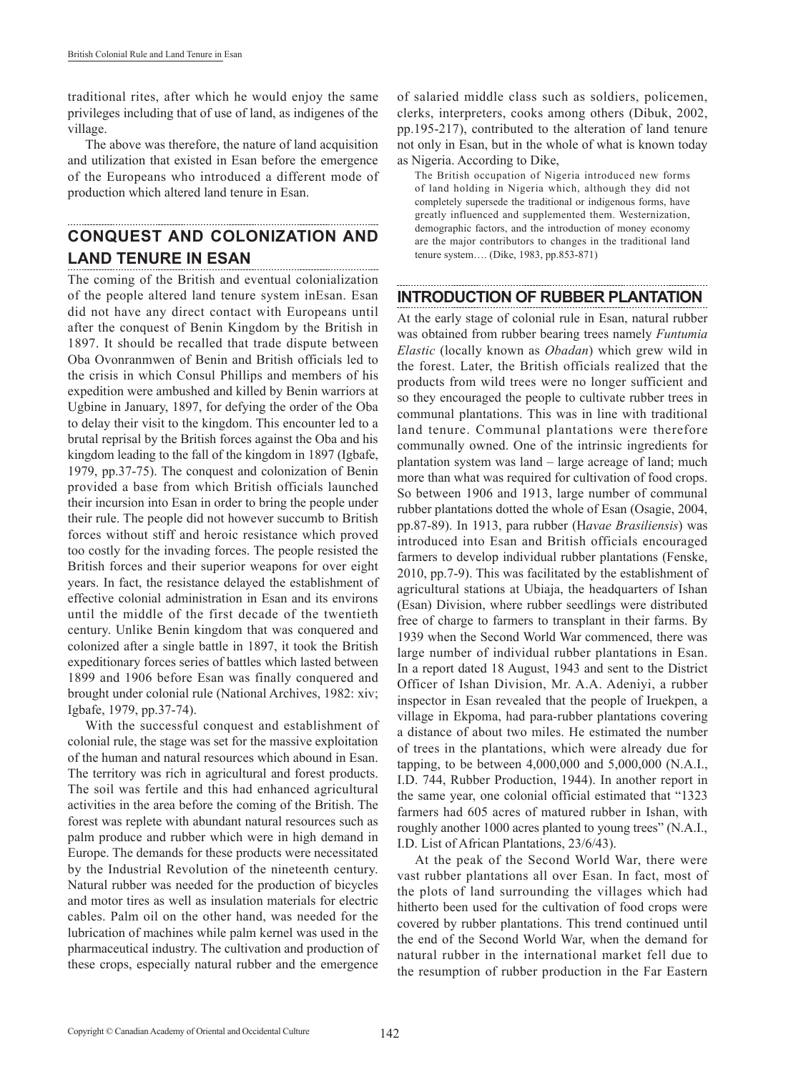traditional rites, after which he would enjoy the same privileges including that of use of land, as indigenes of the village.

The above was therefore, the nature of land acquisition and utilization that existed in Esan before the emergence of the Europeans who introduced a different mode of production which altered land tenure in Esan.

#### **CONQUEST AND COLONIZATION AND LAND TENURE IN ESAN** ......................................

The coming of the British and eventual colonialization of the people altered land tenure system inEsan. Esan did not have any direct contact with Europeans until after the conquest of Benin Kingdom by the British in 1897. It should be recalled that trade dispute between Oba Ovonranmwen of Benin and British officials led to the crisis in which Consul Phillips and members of his expedition were ambushed and killed by Benin warriors at Ugbine in January, 1897, for defying the order of the Oba to delay their visit to the kingdom. This encounter led to a brutal reprisal by the British forces against the Oba and his kingdom leading to the fall of the kingdom in 1897 (Igbafe, 1979, pp.37-75). The conquest and colonization of Benin provided a base from which British officials launched their incursion into Esan in order to bring the people under their rule. The people did not however succumb to British forces without stiff and heroic resistance which proved too costly for the invading forces. The people resisted the British forces and their superior weapons for over eight years. In fact, the resistance delayed the establishment of effective colonial administration in Esan and its environs until the middle of the first decade of the twentieth century. Unlike Benin kingdom that was conquered and colonized after a single battle in 1897, it took the British expeditionary forces series of battles which lasted between 1899 and 1906 before Esan was finally conquered and brought under colonial rule (National Archives, 1982: xiv; Igbafe, 1979, pp.37-74).

With the successful conquest and establishment of colonial rule, the stage was set for the massive exploitation of the human and natural resources which abound in Esan. The territory was rich in agricultural and forest products. The soil was fertile and this had enhanced agricultural activities in the area before the coming of the British. The forest was replete with abundant natural resources such as palm produce and rubber which were in high demand in Europe. The demands for these products were necessitated by the Industrial Revolution of the nineteenth century. Natural rubber was needed for the production of bicycles and motor tires as well as insulation materials for electric cables. Palm oil on the other hand, was needed for the lubrication of machines while palm kernel was used in the pharmaceutical industry. The cultivation and production of these crops, especially natural rubber and the emergence

of salaried middle class such as soldiers, policemen, clerks, interpreters, cooks among others (Dibuk, 2002, pp.195-217), contributed to the alteration of land tenure not only in Esan, but in the whole of what is known today as Nigeria. According to Dike,

The British occupation of Nigeria introduced new forms of land holding in Nigeria which, although they did not completely supersede the traditional or indigenous forms, have greatly influenced and supplemented them. Westernization, demographic factors, and the introduction of money economy are the major contributors to changes in the traditional land tenure system…. (Dike, 1983, pp.853-871)

# **INTRODUCTION OF RUBBER PLANTATION**

At the early stage of colonial rule in Esan, natural rubber was obtained from rubber bearing trees namely *Funtumia Elastic* (locally known as *Obadan*) which grew wild in the forest. Later, the British officials realized that the products from wild trees were no longer sufficient and so they encouraged the people to cultivate rubber trees in communal plantations. This was in line with traditional land tenure. Communal plantations were therefore communally owned. One of the intrinsic ingredients for plantation system was land – large acreage of land; much more than what was required for cultivation of food crops. So between 1906 and 1913, large number of communal rubber plantations dotted the whole of Esan (Osagie, 2004, pp.87-89). In 1913, para rubber (H*avae Brasiliensis*) was introduced into Esan and British officials encouraged farmers to develop individual rubber plantations (Fenske, 2010, pp.7-9). This was facilitated by the establishment of agricultural stations at Ubiaja, the headquarters of Ishan (Esan) Division, where rubber seedlings were distributed free of charge to farmers to transplant in their farms. By 1939 when the Second World War commenced, there was large number of individual rubber plantations in Esan. In a report dated 18 August, 1943 and sent to the District Officer of Ishan Division, Mr. A.A. Adeniyi, a rubber inspector in Esan revealed that the people of Iruekpen, a village in Ekpoma, had para-rubber plantations covering a distance of about two miles. He estimated the number of trees in the plantations, which were already due for tapping, to be between 4,000,000 and 5,000,000 (N.A.I., I.D. 744, Rubber Production, 1944). In another report in the same year, one colonial official estimated that "1323 farmers had 605 acres of matured rubber in Ishan, with roughly another 1000 acres planted to young trees" (N.A.I., I.D. List of African Plantations, 23/6/43).

At the peak of the Second World War, there were vast rubber plantations all over Esan. In fact, most of the plots of land surrounding the villages which had hitherto been used for the cultivation of food crops were covered by rubber plantations. This trend continued until the end of the Second World War, when the demand for natural rubber in the international market fell due to the resumption of rubber production in the Far Eastern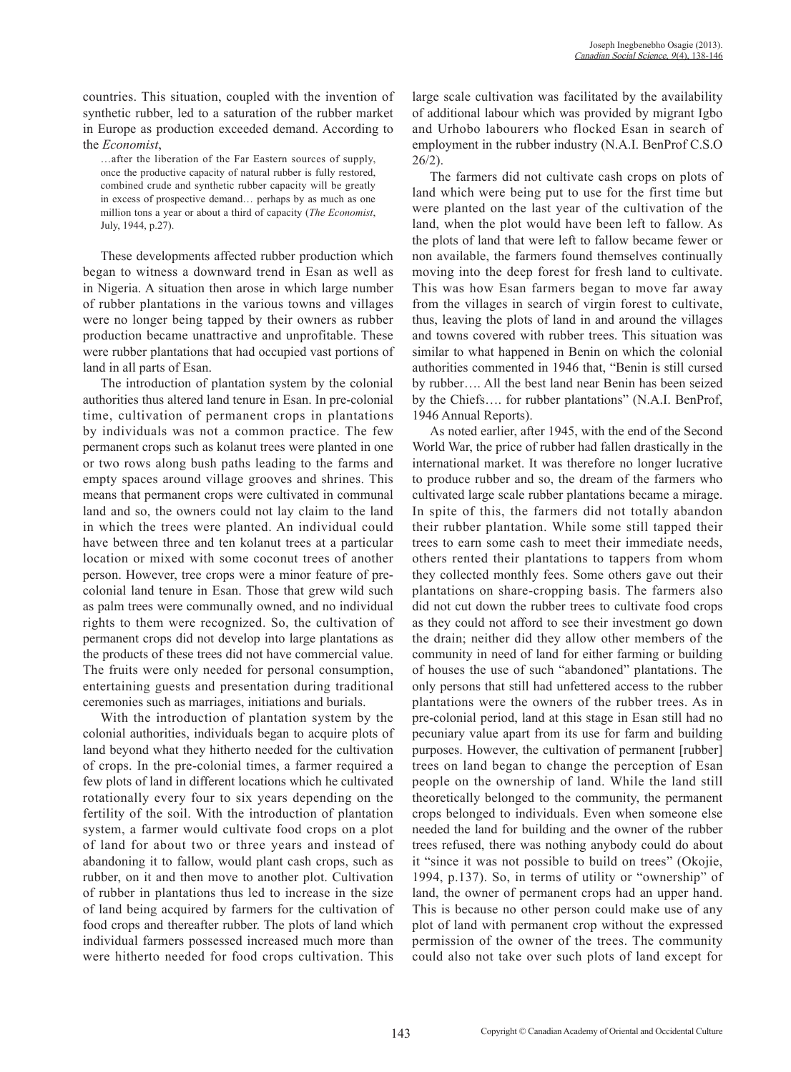countries. This situation, coupled with the invention of synthetic rubber, led to a saturation of the rubber market in Europe as production exceeded demand. According to the *Economist*,

…after the liberation of the Far Eastern sources of supply, once the productive capacity of natural rubber is fully restored, combined crude and synthetic rubber capacity will be greatly in excess of prospective demand… perhaps by as much as one million tons a year or about a third of capacity (*The Economist*, July, 1944, p.27).

These developments affected rubber production which began to witness a downward trend in Esan as well as in Nigeria. A situation then arose in which large number of rubber plantations in the various towns and villages were no longer being tapped by their owners as rubber production became unattractive and unprofitable. These were rubber plantations that had occupied vast portions of land in all parts of Esan.

The introduction of plantation system by the colonial authorities thus altered land tenure in Esan. In pre-colonial time, cultivation of permanent crops in plantations by individuals was not a common practice. The few permanent crops such as kolanut trees were planted in one or two rows along bush paths leading to the farms and empty spaces around village grooves and shrines. This means that permanent crops were cultivated in communal land and so, the owners could not lay claim to the land in which the trees were planted. An individual could have between three and ten kolanut trees at a particular location or mixed with some coconut trees of another person. However, tree crops were a minor feature of precolonial land tenure in Esan. Those that grew wild such as palm trees were communally owned, and no individual rights to them were recognized. So, the cultivation of permanent crops did not develop into large plantations as the products of these trees did not have commercial value. The fruits were only needed for personal consumption, entertaining guests and presentation during traditional ceremonies such as marriages, initiations and burials.

With the introduction of plantation system by the colonial authorities, individuals began to acquire plots of land beyond what they hitherto needed for the cultivation of crops. In the pre-colonial times, a farmer required a few plots of land in different locations which he cultivated rotationally every four to six years depending on the fertility of the soil. With the introduction of plantation system, a farmer would cultivate food crops on a plot of land for about two or three years and instead of abandoning it to fallow, would plant cash crops, such as rubber, on it and then move to another plot. Cultivation of rubber in plantations thus led to increase in the size of land being acquired by farmers for the cultivation of food crops and thereafter rubber. The plots of land which individual farmers possessed increased much more than were hitherto needed for food crops cultivation. This large scale cultivation was facilitated by the availability of additional labour which was provided by migrant Igbo and Urhobo labourers who flocked Esan in search of employment in the rubber industry (N.A.I. BenProf C.S.O 26/2).

The farmers did not cultivate cash crops on plots of land which were being put to use for the first time but were planted on the last year of the cultivation of the land, when the plot would have been left to fallow. As the plots of land that were left to fallow became fewer or non available, the farmers found themselves continually moving into the deep forest for fresh land to cultivate. This was how Esan farmers began to move far away from the villages in search of virgin forest to cultivate, thus, leaving the plots of land in and around the villages and towns covered with rubber trees. This situation was similar to what happened in Benin on which the colonial authorities commented in 1946 that, "Benin is still cursed by rubber…. All the best land near Benin has been seized by the Chiefs…. for rubber plantations" (N.A.I. BenProf, 1946 Annual Reports).

As noted earlier, after 1945, with the end of the Second World War, the price of rubber had fallen drastically in the international market. It was therefore no longer lucrative to produce rubber and so, the dream of the farmers who cultivated large scale rubber plantations became a mirage. In spite of this, the farmers did not totally abandon their rubber plantation. While some still tapped their trees to earn some cash to meet their immediate needs, others rented their plantations to tappers from whom they collected monthly fees. Some others gave out their plantations on share-cropping basis. The farmers also did not cut down the rubber trees to cultivate food crops as they could not afford to see their investment go down the drain; neither did they allow other members of the community in need of land for either farming or building of houses the use of such "abandoned" plantations. The only persons that still had unfettered access to the rubber plantations were the owners of the rubber trees. As in pre-colonial period, land at this stage in Esan still had no pecuniary value apart from its use for farm and building purposes. However, the cultivation of permanent [rubber] trees on land began to change the perception of Esan people on the ownership of land. While the land still theoretically belonged to the community, the permanent crops belonged to individuals. Even when someone else needed the land for building and the owner of the rubber trees refused, there was nothing anybody could do about it "since it was not possible to build on trees" (Okojie, 1994, p.137). So, in terms of utility or "ownership" of land, the owner of permanent crops had an upper hand. This is because no other person could make use of any plot of land with permanent crop without the expressed permission of the owner of the trees. The community could also not take over such plots of land except for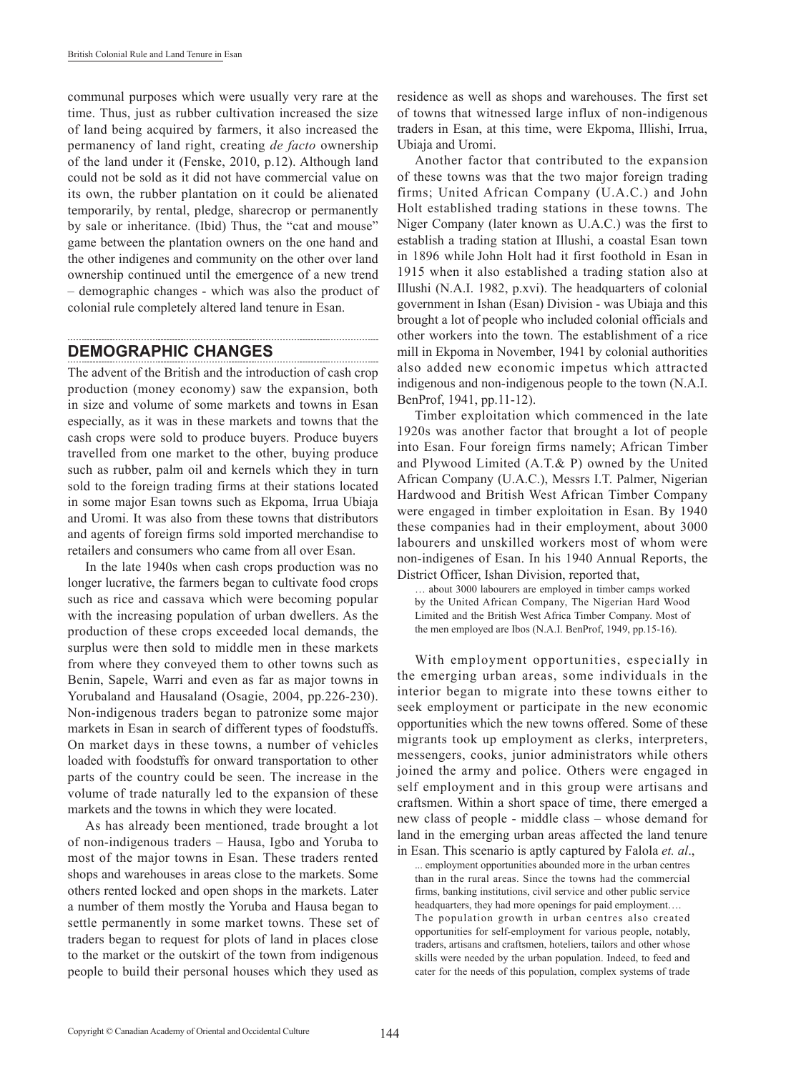communal purposes which were usually very rare at the time. Thus, just as rubber cultivation increased the size of land being acquired by farmers, it also increased the permanency of land right, creating *de facto* ownership of the land under it (Fenske, 2010, p.12). Although land could not be sold as it did not have commercial value on its own, the rubber plantation on it could be alienated temporarily, by rental, pledge, sharecrop or permanently by sale or inheritance. (Ibid) Thus, the "cat and mouse" game between the plantation owners on the one hand and the other indigenes and community on the other over land ownership continued until the emergence of a new trend – demographic changes - which was also the product of colonial rule completely altered land tenure in Esan.

### **DEMOGRAPHIC CHANGES**

The advent of the British and the introduction of cash crop production (money economy) saw the expansion, both in size and volume of some markets and towns in Esan especially, as it was in these markets and towns that the cash crops were sold to produce buyers. Produce buyers travelled from one market to the other, buying produce such as rubber, palm oil and kernels which they in turn sold to the foreign trading firms at their stations located in some major Esan towns such as Ekpoma, Irrua Ubiaja and Uromi. It was also from these towns that distributors and agents of foreign firms sold imported merchandise to retailers and consumers who came from all over Esan.

In the late 1940s when cash crops production was no longer lucrative, the farmers began to cultivate food crops such as rice and cassava which were becoming popular with the increasing population of urban dwellers. As the production of these crops exceeded local demands, the surplus were then sold to middle men in these markets from where they conveyed them to other towns such as Benin, Sapele, Warri and even as far as major towns in Yorubaland and Hausaland (Osagie, 2004, pp.226-230). Non-indigenous traders began to patronize some major markets in Esan in search of different types of foodstuffs. On market days in these towns, a number of vehicles loaded with foodstuffs for onward transportation to other parts of the country could be seen. The increase in the volume of trade naturally led to the expansion of these markets and the towns in which they were located.

As has already been mentioned, trade brought a lot of non-indigenous traders – Hausa, Igbo and Yoruba to most of the major towns in Esan. These traders rented shops and warehouses in areas close to the markets. Some others rented locked and open shops in the markets. Later a number of them mostly the Yoruba and Hausa began to settle permanently in some market towns. These set of traders began to request for plots of land in places close to the market or the outskirt of the town from indigenous people to build their personal houses which they used as

residence as well as shops and warehouses. The first set of towns that witnessed large influx of non-indigenous traders in Esan, at this time, were Ekpoma, Illishi, Irrua, Ubiaja and Uromi.

Another factor that contributed to the expansion of these towns was that the two major foreign trading firms; United African Company (U.A.C.) and John Holt established trading stations in these towns. The Niger Company (later known as U.A.C.) was the first to establish a trading station at Illushi, a coastal Esan town in 1896 while John Holt had it first foothold in Esan in 1915 when it also established a trading station also at Illushi (N.A.I. 1982, p.xvi). The headquarters of colonial government in Ishan (Esan) Division - was Ubiaja and this brought a lot of people who included colonial officials and other workers into the town. The establishment of a rice mill in Ekpoma in November, 1941 by colonial authorities also added new economic impetus which attracted indigenous and non-indigenous people to the town (N.A.I. BenProf, 1941, pp.11-12).

Timber exploitation which commenced in the late 1920s was another factor that brought a lot of people into Esan. Four foreign firms namely; African Timber and Plywood Limited (A.T.& P) owned by the United African Company (U.A.C.), Messrs I.T. Palmer, Nigerian Hardwood and British West African Timber Company were engaged in timber exploitation in Esan. By 1940 these companies had in their employment, about 3000 labourers and unskilled workers most of whom were non-indigenes of Esan. In his 1940 Annual Reports, the District Officer, Ishan Division, reported that,

… about 3000 labourers are employed in timber camps worked by the United African Company, The Nigerian Hard Wood Limited and the British West Africa Timber Company. Most of the men employed are Ibos (N.A.I. BenProf, 1949, pp.15-16).

With employment opportunities, especially in the emerging urban areas, some individuals in the interior began to migrate into these towns either to seek employment or participate in the new economic opportunities which the new towns offered. Some of these migrants took up employment as clerks, interpreters, messengers, cooks, junior administrators while others joined the army and police. Others were engaged in self employment and in this group were artisans and craftsmen. Within a short space of time, there emerged a new class of people - middle class – whose demand for land in the emerging urban areas affected the land tenure in Esan. This scenario is aptly captured by Falola *et. al*.,

... employment opportunities abounded more in the urban centres than in the rural areas. Since the towns had the commercial firms, banking institutions, civil service and other public service headquarters, they had more openings for paid employment…. The population growth in urban centres also created opportunities for self-employment for various people, notably, traders, artisans and craftsmen, hoteliers, tailors and other whose skills were needed by the urban population. Indeed, to feed and cater for the needs of this population, complex systems of trade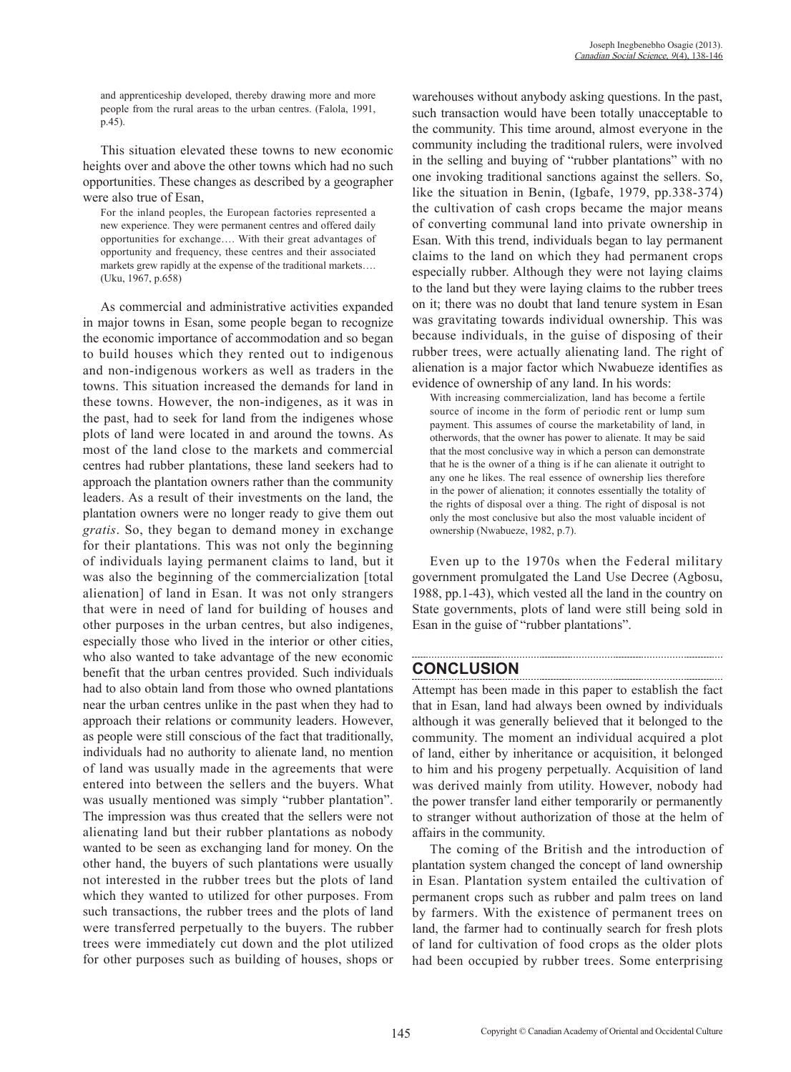and apprenticeship developed, thereby drawing more and more people from the rural areas to the urban centres. (Falola, 1991, p.45).

This situation elevated these towns to new economic heights over and above the other towns which had no such opportunities. These changes as described by a geographer were also true of Esan,

For the inland peoples, the European factories represented a new experience. They were permanent centres and offered daily opportunities for exchange…. With their great advantages of opportunity and frequency, these centres and their associated markets grew rapidly at the expense of the traditional markets…. (Uku, 1967, p.658)

As commercial and administrative activities expanded in major towns in Esan, some people began to recognize the economic importance of accommodation and so began to build houses which they rented out to indigenous and non-indigenous workers as well as traders in the towns. This situation increased the demands for land in these towns. However, the non-indigenes, as it was in the past, had to seek for land from the indigenes whose plots of land were located in and around the towns. As most of the land close to the markets and commercial centres had rubber plantations, these land seekers had to approach the plantation owners rather than the community leaders. As a result of their investments on the land, the plantation owners were no longer ready to give them out *gratis*. So, they began to demand money in exchange for their plantations. This was not only the beginning of individuals laying permanent claims to land, but it was also the beginning of the commercialization [total alienation] of land in Esan. It was not only strangers that were in need of land for building of houses and other purposes in the urban centres, but also indigenes, especially those who lived in the interior or other cities, who also wanted to take advantage of the new economic benefit that the urban centres provided. Such individuals had to also obtain land from those who owned plantations near the urban centres unlike in the past when they had to approach their relations or community leaders. However, as people were still conscious of the fact that traditionally, individuals had no authority to alienate land, no mention of land was usually made in the agreements that were entered into between the sellers and the buyers. What was usually mentioned was simply "rubber plantation". The impression was thus created that the sellers were not alienating land but their rubber plantations as nobody wanted to be seen as exchanging land for money. On the other hand, the buyers of such plantations were usually not interested in the rubber trees but the plots of land which they wanted to utilized for other purposes. From such transactions, the rubber trees and the plots of land were transferred perpetually to the buyers. The rubber trees were immediately cut down and the plot utilized for other purposes such as building of houses, shops or warehouses without anybody asking questions. In the past, such transaction would have been totally unacceptable to the community. This time around, almost everyone in the community including the traditional rulers, were involved in the selling and buying of "rubber plantations" with no one invoking traditional sanctions against the sellers. So, like the situation in Benin, (Igbafe, 1979, pp.338-374) the cultivation of cash crops became the major means of converting communal land into private ownership in Esan. With this trend, individuals began to lay permanent claims to the land on which they had permanent crops especially rubber. Although they were not laying claims to the land but they were laying claims to the rubber trees on it; there was no doubt that land tenure system in Esan was gravitating towards individual ownership. This was because individuals, in the guise of disposing of their rubber trees, were actually alienating land. The right of alienation is a major factor which Nwabueze identifies as evidence of ownership of any land. In his words:

With increasing commercialization, land has become a fertile source of income in the form of periodic rent or lump sum payment. This assumes of course the marketability of land, in otherwords, that the owner has power to alienate. It may be said that the most conclusive way in which a person can demonstrate that he is the owner of a thing is if he can alienate it outright to any one he likes. The real essence of ownership lies therefore in the power of alienation; it connotes essentially the totality of the rights of disposal over a thing. The right of disposal is not only the most conclusive but also the most valuable incident of ownership (Nwabueze, 1982, p.7).

Even up to the 1970s when the Federal military government promulgated the Land Use Decree (Agbosu, 1988, pp.1-43), which vested all the land in the country on State governments, plots of land were still being sold in Esan in the guise of "rubber plantations".

# **CONCLUSION**

Attempt has been made in this paper to establish the fact that in Esan, land had always been owned by individuals although it was generally believed that it belonged to the community. The moment an individual acquired a plot of land, either by inheritance or acquisition, it belonged to him and his progeny perpetually. Acquisition of land was derived mainly from utility. However, nobody had the power transfer land either temporarily or permanently to stranger without authorization of those at the helm of affairs in the community.

The coming of the British and the introduction of plantation system changed the concept of land ownership in Esan. Plantation system entailed the cultivation of permanent crops such as rubber and palm trees on land by farmers. With the existence of permanent trees on land, the farmer had to continually search for fresh plots of land for cultivation of food crops as the older plots had been occupied by rubber trees. Some enterprising